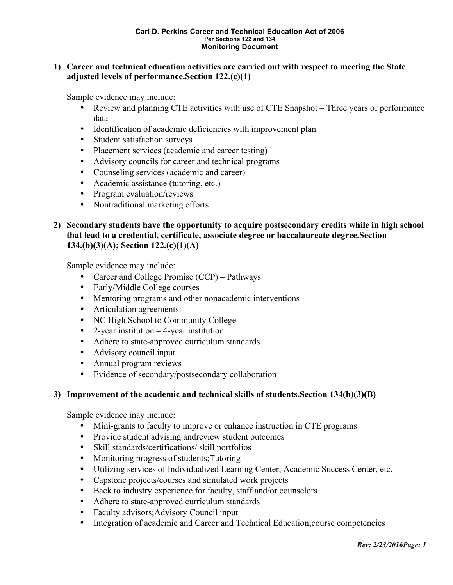## **1) Career and technical education activities are carried out with respect to meeting the State adjusted levels of performance.Section 122.(c)(1)**

Sample evidence may include:

- Review and planning CTE activities with use of CTE Snapshot Three years of performance data
- Identification of academic deficiencies with improvement plan
- Student satisfaction surveys
- Placement services (academic and career testing)
- Advisory councils for career and technical programs
- Counseling services (academic and career)
- Academic assistance (tutoring, etc.)
- Program evaluation/reviews
- Nontraditional marketing efforts

# **2) Secondary students have the opportunity to acquire postsecondary credits while in high school that lead to a credential, certificate, associate degree or baccalaureate degree.Section 134.(b)(3)(A); Section 122.(c)(1)(A)**

Sample evidence may include:

- Career and College Promise (CCP) Pathways
- Early/Middle College courses
- Mentoring programs and other nonacademic interventions
- Articulation agreements:
- NC High School to Community College
- 2-year institution 4-year institution
- Adhere to state-approved curriculum standards
- Advisory council input
- Annual program reviews
- Evidence of secondary/postsecondary collaboration

## **3) Improvement of the academic and technical skills of students.Section 134(b)(3)(B)**

- Mini-grants to faculty to improve or enhance instruction in CTE programs
- Provide student advising andreview student outcomes
- Skill standards/certifications/ skill portfolios
- Monitoring progress of students; Tutoring
- Utilizing services of Individualized Learning Center, Academic Success Center, etc.
- Capstone projects/courses and simulated work projects
- Back to industry experience for faculty, staff and/or counselors
- Adhere to state-approved curriculum standards
- Faculty advisors;Advisory Council input
- Integration of academic and Career and Technical Education;course competencies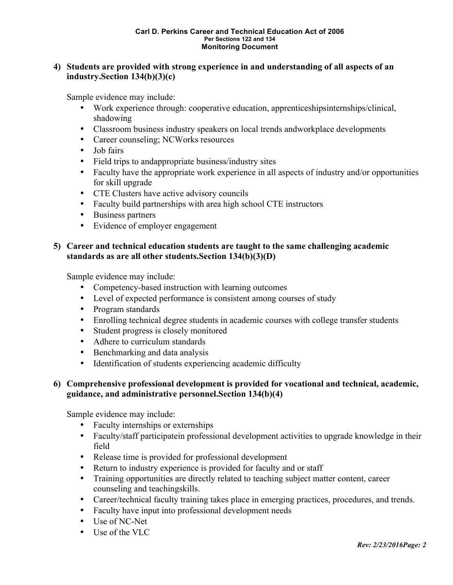## **4) Students are provided with strong experience in and understanding of all aspects of an industry.Section 134(b)(3)(c)**

Sample evidence may include:

- Work experience through: cooperative education, apprenticeshipsinternships/clinical, shadowing
- Classroom business industry speakers on local trends andworkplace developments
- Career counseling; NCWorks resources
- Job fairs
- Field trips to andappropriate business/industry sites
- Faculty have the appropriate work experience in all aspects of industry and/or opportunities for skill upgrade
- CTE Clusters have active advisory councils
- Faculty build partnerships with area high school CTE instructors
- Business partners
- Evidence of employer engagement

## **5) Career and technical education students are taught to the same challenging academic standards as are all other students.Section 134(b)(3)(D)**

Sample evidence may include:

- Competency-based instruction with learning outcomes
- Level of expected performance is consistent among courses of study
- Program standards
- Enrolling technical degree students in academic courses with college transfer students
- Student progress is closely monitored
- Adhere to curriculum standards
- Benchmarking and data analysis
- Identification of students experiencing academic difficulty

## **6) Comprehensive professional development is provided for vocational and technical, academic, guidance, and administrative personnel.Section 134(b)(4)**

- Faculty internships or externships
- Faculty/staff participatein professional development activities to upgrade knowledge in their field
- Release time is provided for professional development
- Return to industry experience is provided for faculty and or staff
- Training opportunities are directly related to teaching subject matter content, career counseling and teachingskills.
- Career/technical faculty training takes place in emerging practices, procedures, and trends.
- Faculty have input into professional development needs
- Use of NC-Net
- Use of the VLC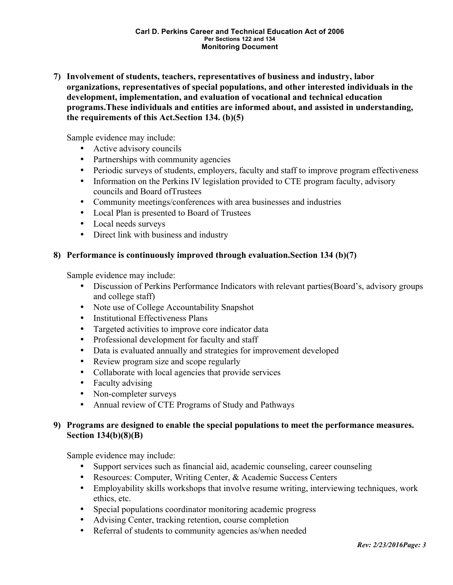**7) Involvement of students, teachers, representatives of business and industry, labor organizations, representatives of special populations, and other interested individuals in the development, implementation, and evaluation of vocational and technical education programs.These individuals and entities are informed about, and assisted in understanding, the requirements of this Act.Section 134. (b)(5)**

Sample evidence may include:

- Active advisory councils
- Partnerships with community agencies
- Periodic surveys of students, employers, faculty and staff to improve program effectiveness
- Information on the Perkins IV legislation provided to CTE program faculty, advisory councils and Board ofTrustees
- Community meetings/conferences with area businesses and industries
- Local Plan is presented to Board of Trustees
- Local needs surveys
- Direct link with business and industry

## **8) Performance is continuously improved through evaluation.Section 134 (b)(7)**

Sample evidence may include:

- Discussion of Perkins Performance Indicators with relevant parties (Board's, advisory groups and college staff)
- Note use of College Accountability Snapshot
- Institutional Effectiveness Plans
- Targeted activities to improve core indicator data
- Professional development for faculty and staff
- Data is evaluated annually and strategies for improvement developed
- Review program size and scope regularly
- Collaborate with local agencies that provide services
- Faculty advising
- Non-completer surveys
- Annual review of CTE Programs of Study and Pathways

## **9) Programs are designed to enable the special populations to meet the performance measures. Section 134(b)(8)(B)**

- Support services such as financial aid, academic counseling, career counseling
- Resources: Computer, Writing Center, & Academic Success Centers
- Employability skills workshops that involve resume writing, interviewing techniques, work ethics, etc.
- Special populations coordinator monitoring academic progress
- Advising Center, tracking retention, course completion
- Referral of students to community agencies as/when needed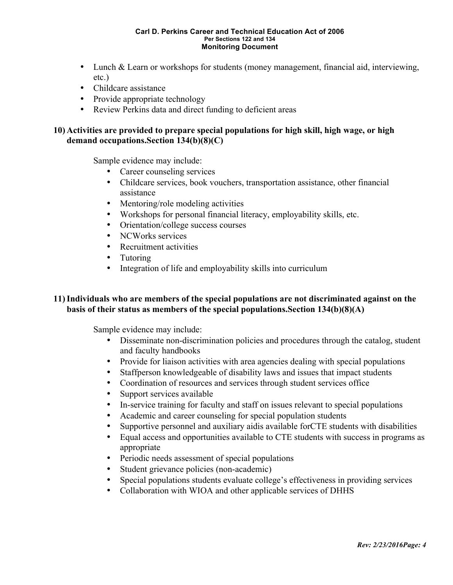- Lunch & Learn or workshops for students (money management, financial aid, interviewing, etc.)
- Childcare assistance
- Provide appropriate technology
- Review Perkins data and direct funding to deficient areas

## **10) Activities are provided to prepare special populations for high skill, high wage, or high demand occupations.Section 134(b)(8)(C)**

Sample evidence may include:

- Career counseling services
- Childcare services, book vouchers, transportation assistance, other financial assistance
- Mentoring/role modeling activities
- Workshops for personal financial literacy, employability skills, etc.
- Orientation/college success courses
- NCWorks services
- Recruitment activities
- Tutoring
- Integration of life and employability skills into curriculum

## **11)Individuals who are members of the special populations are not discriminated against on the basis of their status as members of the special populations.Section 134(b)(8)(A)**

- Disseminate non-discrimination policies and procedures through the catalog, student and faculty handbooks
- Provide for liaison activities with area agencies dealing with special populations
- Staffperson knowledgeable of disability laws and issues that impact students
- Coordination of resources and services through student services office
- Support services available
- In-service training for faculty and staff on issues relevant to special populations
- Academic and career counseling for special population students
- Supportive personnel and auxiliary aidis available forCTE students with disabilities
- Equal access and opportunities available to CTE students with success in programs as appropriate
- Periodic needs assessment of special populations
- Student grievance policies (non-academic)
- Special populations students evaluate college's effectiveness in providing services
- Collaboration with WIOA and other applicable services of DHHS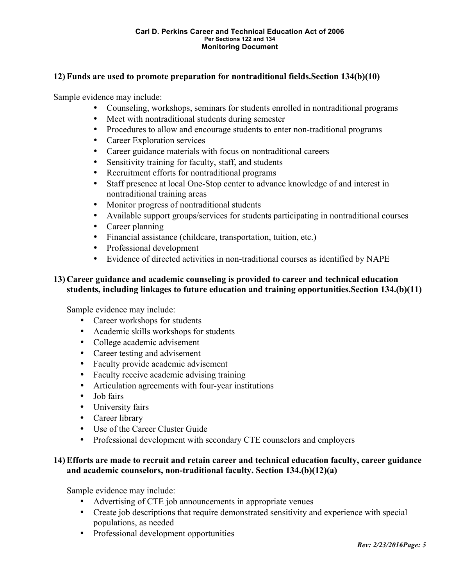## **12) Funds are used to promote preparation for nontraditional fields.Section 134(b)(10)**

Sample evidence may include:

- Counseling, workshops, seminars for students enrolled in nontraditional programs
- Meet with nontraditional students during semester
- Procedures to allow and encourage students to enter non-traditional programs
- Career Exploration services
- Career guidance materials with focus on nontraditional careers
- Sensitivity training for faculty, staff, and students
- Recruitment efforts for nontraditional programs
- Staff presence at local One-Stop center to advance knowledge of and interest in nontraditional training areas
- Monitor progress of nontraditional students
- Available support groups/services for students participating in nontraditional courses
- Career planning
- Financial assistance (childcare, transportation, tuition, etc.)
- Professional development
- Evidence of directed activities in non-traditional courses as identified by NAPE

# **13) Career guidance and academic counseling is provided to career and technical education students, including linkages to future education and training opportunities.Section 134.(b)(11)**

Sample evidence may include:

- Career workshops for students
- Academic skills workshops for students
- College academic advisement
- Career testing and advisement
- Faculty provide academic advisement
- Faculty receive academic advising training
- Articulation agreements with four-year institutions
- Job fairs
- University fairs
- Career library
- Use of the Career Cluster Guide
- Professional development with secondary CTE counselors and employers

## **14) Efforts are made to recruit and retain career and technical education faculty, career guidance and academic counselors, non-traditional faculty. Section 134.(b)(12)(a)**

- Advertising of CTE job announcements in appropriate venues
- Create job descriptions that require demonstrated sensitivity and experience with special populations, as needed
- Professional development opportunities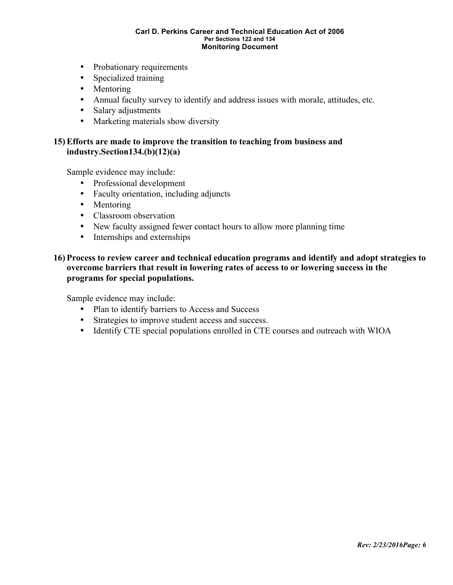- Probationary requirements
- Specialized training
- Mentoring
- Annual faculty survey to identify and address issues with morale, attitudes, etc.
- Salary adjustments
- Marketing materials show diversity

#### **15) Efforts are made to improve the transition to teaching from business and industry.Section134.(b)(12)(a)**

Sample evidence may include:

- Professional development
- Faculty orientation, including adjuncts
- Mentoring
- Classroom observation
- New faculty assigned fewer contact hours to allow more planning time
- Internships and externships

## **16) Process to review career and technical education programs and identify and adopt strategies to overcome barriers that result in lowering rates of access to or lowering success in the programs for special populations.**

- Plan to identify barriers to Access and Success
- Strategies to improve student access and success.
- Identify CTE special populations enrolled in CTE courses and outreach with WIOA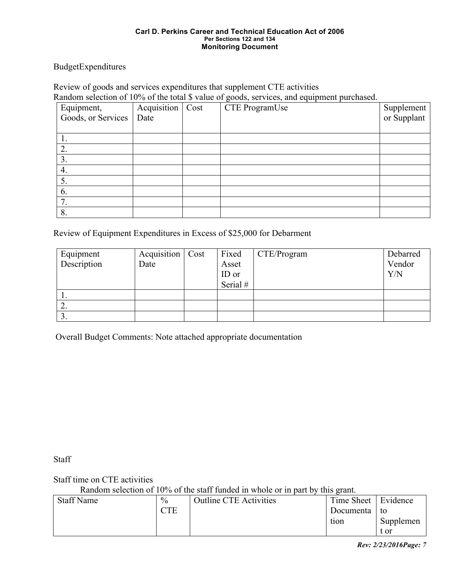BudgetExpenditures

Review of goods and services expenditures that supplement CTE activities Random selection of 10% of the total \$ value of goods, services, and equipment purchased.

| Equipment,         | Acquisition   Cost | CTE ProgramUse | Supplement<br>or Supplant |
|--------------------|--------------------|----------------|---------------------------|
| Goods, or Services | Date               |                |                           |
|                    |                    |                |                           |
|                    |                    |                |                           |
| $\overline{2}$     |                    |                |                           |
| 3.                 |                    |                |                           |
| 4.                 |                    |                |                           |
| 5.                 |                    |                |                           |
| 6.                 |                    |                |                           |
| 7.                 |                    |                |                           |
| 8                  |                    |                |                           |

Review of Equipment Expenditures in Excess of \$25,000 for Debarment

| Equipment   | Acquisition | Cost | Fixed    | CTE/Program | Debarred |
|-------------|-------------|------|----------|-------------|----------|
| Description | Date        |      | Asset    |             | Vendor   |
|             |             |      | ID or    |             | Y/N      |
|             |             |      | Serial # |             |          |
| .,          |             |      |          |             |          |
| ∠.          |             |      |          |             |          |
| J.          |             |      |          |             |          |

Overall Budget Comments: Note attached appropriate documentation

**Staff** 

Staff time on CTE activities

Random selection of 10% of the staff funded in whole or in part by this grant.

| <b>Staff Name</b> | $\frac{0}{0}$ | <b>Outline CTE Activities</b> | Time Sheet   Evidence |           |
|-------------------|---------------|-------------------------------|-----------------------|-----------|
|                   | <b>CTE</b>    |                               | Documenta             | to        |
|                   |               |                               | tion                  | Supplemen |
|                   |               |                               |                       | t or      |